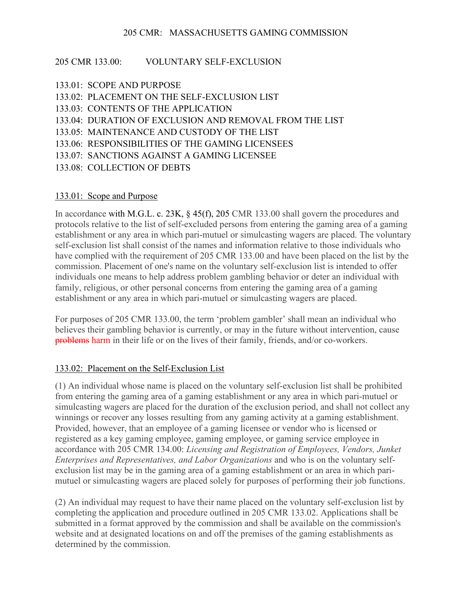### 205 CMR 133.00: VOLUNTARY SELF-EXCLUSION

- 133.01: SCOPE AND PURPOSE
- 133.02: PLACEMENT ON THE SELF-EXCLUSION LIST
- 133.03: CONTENTS OF THE APPLICATION
- 133.04: DURATION OF EXCLUSION AND REMOVAL FROM THE LIST
- 133.05: MAINTENANCE AND CUSTODY OF THE LIST
- 133.06: RESPONSIBILITIES OF THE GAMING LICENSEES
- 133.07: SANCTIONS AGAINST A GAMING LICENSEE
- 133.08: COLLECTION OF DEBTS

#### 133.01: Scope and Purpose

In accordance with M.G.L. c. 23K, § 45(f), 205 CMR 133.00 shall govern the procedures and protocols relative to the list of self-excluded persons from entering the gaming area of a gaming establishment or any area in which pari-mutuel or simulcasting wagers are placed. The voluntary self-exclusion list shall consist of the names and information relative to those individuals who have complied with the requirement of 205 CMR 133.00 and have been placed on the list by the commission. Placement of one's name on the voluntary self-exclusion list is intended to offer individuals one means to help address problem gambling behavior or deter an individual with family, religious, or other personal concerns from entering the gaming area of a gaming establishment or any area in which pari-mutuel or simulcasting wagers are placed.

For purposes of 205 CMR 133.00, the term 'problem gambler' shall mean an individual who believes their gambling behavior is currently, or may in the future without intervention, cause problems harm in their life or on the lives of their family, friends, and/or co-workers.

#### 133.02: Placement on the Self-Exclusion List

(1) An individual whose name is placed on the voluntary self-exclusion list shall be prohibited from entering the gaming area of a gaming establishment or any area in which pari-mutuel or simulcasting wagers are placed for the duration of the exclusion period, and shall not collect any winnings or recover any losses resulting from any gaming activity at a gaming establishment. Provided, however, that an employee of a gaming licensee or vendor who is licensed or registered as a key gaming employee, gaming employee, or gaming service employee in accordance with 205 CMR 134.00: *Licensing and Registration of Employees, Vendors, Junket Enterprises and Representatives, and Labor Organizations* and who is on the voluntary selfexclusion list may be in the gaming area of a gaming establishment or an area in which parimutuel or simulcasting wagers are placed solely for purposes of performing their job functions.

(2) An individual may request to have their name placed on the voluntary self-exclusion list by completing the application and procedure outlined in 205 CMR 133.02. Applications shall be submitted in a format approved by the commission and shall be available on the commission's website and at designated locations on and off the premises of the gaming establishments as determined by the commission.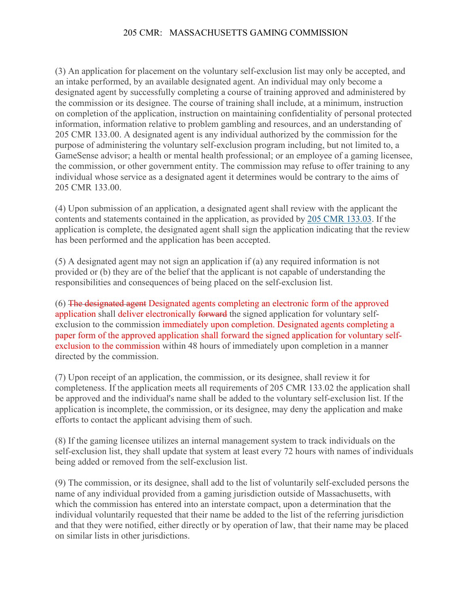(3) An application for placement on the voluntary self-exclusion list may only be accepted, and an intake performed, by an available designated agent. An individual may only become a designated agent by successfully completing a course of training approved and administered by the commission or its designee. The course of training shall include, at a minimum, instruction on completion of the application, instruction on maintaining confidentiality of personal protected information, information relative to problem gambling and resources, and an understanding of 205 CMR 133.00. A designated agent is any individual authorized by the commission for the purpose of administering the voluntary self-exclusion program including, but not limited to, a GameSense advisor; a health or mental health professional; or an employee of a gaming licensee, the commission, or other government entity. The commission may refuse to offer training to any individual whose service as a designated agent it determines would be contrary to the aims of 205 CMR 133.00.

(4) Upon submission of an application, a designated agent shall review with the applicant the contents and statements contained in the application, as provided by [205 CMR 133.03.](https://1.next.westlaw.com/Link/Document/FullText?findType=L&pubNum=1012167&cite=205MADC133.03&originatingDoc=I525937206D4D11EB8D31AA79C4EA0F2B&refType=VP&originationContext=document&transitionType=DocumentItem&ppcid=e553c368c24f4eb4bf554239db1ea7f2&contextData=(sc.Category)) If the application is complete, the designated agent shall sign the application indicating that the review has been performed and the application has been accepted.

(5) A designated agent may not sign an application if (a) any required information is not provided or (b) they are of the belief that the applicant is not capable of understanding the responsibilities and consequences of being placed on the self-exclusion list.

(6) The designated agent Designated agents completing an electronic form of the approved application shall deliver electronically forward the signed application for voluntary selfexclusion to the commission immediately upon completion. Designated agents completing a paper form of the approved application shall forward the signed application for voluntary selfexclusion to the commission within 48 hours of immediately upon completion in a manner directed by the commission.

(7) Upon receipt of an application, the commission, or its designee, shall review it for completeness. If the application meets all requirements of 205 CMR 133.02 the application shall be approved and the individual's name shall be added to the voluntary self-exclusion list. If the application is incomplete, the commission, or its designee, may deny the application and make efforts to contact the applicant advising them of such.

(8) If the gaming licensee utilizes an internal management system to track individuals on the self-exclusion list, they shall update that system at least every 72 hours with names of individuals being added or removed from the self-exclusion list.

(9) The commission, or its designee, shall add to the list of voluntarily self-excluded persons the name of any individual provided from a gaming jurisdiction outside of Massachusetts, with which the commission has entered into an interstate compact, upon a determination that the individual voluntarily requested that their name be added to the list of the referring jurisdiction and that they were notified, either directly or by operation of law, that their name may be placed on similar lists in other jurisdictions.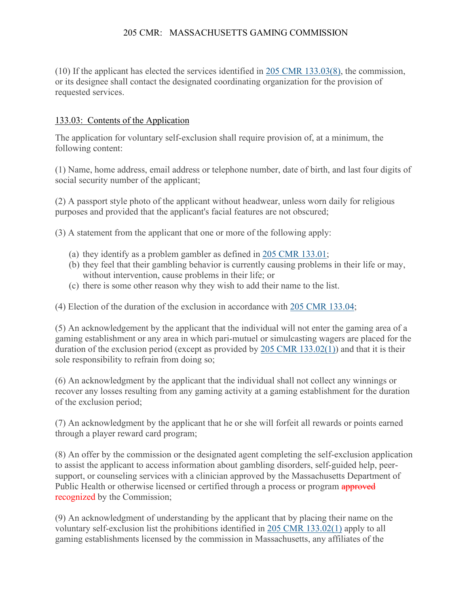(10) If the applicant has elected the services identified in [205 CMR 133.03\(8\),](https://1.next.westlaw.com/Link/Document/FullText?findType=L&pubNum=1012167&cite=205MADC133.03&originatingDoc=I525937206D4D11EB8D31AA79C4EA0F2B&refType=VP&originationContext=document&transitionType=DocumentItem&ppcid=e553c368c24f4eb4bf554239db1ea7f2&contextData=(sc.Category)) the commission, or its designee shall contact the designated coordinating organization for the provision of requested services.

### 133.03: Contents of the Application

The application for voluntary self-exclusion shall require provision of, at a minimum, the following content:

(1) Name, home address, email address or telephone number, date of birth, and last four digits of social security number of the applicant;

(2) A passport style photo of the applicant without headwear, unless worn daily for religious purposes and provided that the applicant's facial features are not obscured;

(3) A statement from the applicant that one or more of the following apply:

- (a) they identify as a problem gambler as defined in [205 CMR 133.01;](https://1.next.westlaw.com/Link/Document/FullText?findType=L&pubNum=1012167&cite=205MADC133.01&originatingDoc=I58AC05306D4D11EBBAD6E14588C11138&refType=VP&originationContext=document&transitionType=DocumentItem&ppcid=27162ae87e20459eafcddb16e50a5006&contextData=(sc.Document))
- (b) they feel that their gambling behavior is currently causing problems in their life or may, without intervention, cause problems in their life; or
- (c) there is some other reason why they wish to add their name to the list.

(4) Election of the duration of the exclusion in accordance with [205 CMR 133.04;](https://1.next.westlaw.com/Link/Document/FullText?findType=L&pubNum=1012167&cite=205MADC133.04&originatingDoc=I58AC05306D4D11EBBAD6E14588C11138&refType=VP&originationContext=document&transitionType=DocumentItem&ppcid=27162ae87e20459eafcddb16e50a5006&contextData=(sc.Document))

(5) An acknowledgement by the applicant that the individual will not enter the gaming area of a gaming establishment or any area in which pari-mutuel or simulcasting wagers are placed for the duration of the exclusion period (except as provided by [205 CMR 133.02\(1\)\)](https://1.next.westlaw.com/Link/Document/FullText?findType=L&pubNum=1012167&cite=205MADC133.02&originatingDoc=I58AC05306D4D11EBBAD6E14588C11138&refType=VP&originationContext=document&transitionType=DocumentItem&ppcid=27162ae87e20459eafcddb16e50a5006&contextData=(sc.Document)) and that it is their sole responsibility to refrain from doing so;

(6) An acknowledgment by the applicant that the individual shall not collect any winnings or recover any losses resulting from any gaming activity at a gaming establishment for the duration of the exclusion period;

(7) An acknowledgment by the applicant that he or she will forfeit all rewards or points earned through a player reward card program;

(8) An offer by the commission or the designated agent completing the self-exclusion application to assist the applicant to access information about gambling disorders, self-guided help, peersupport, or counseling services with a clinician approved by the Massachusetts Department of Public Health or otherwise licensed or certified through a process or program approved recognized by the Commission;

(9) An acknowledgment of understanding by the applicant that by placing their name on the voluntary self-exclusion list the prohibitions identified in [205 CMR 133.02\(1\)](https://1.next.westlaw.com/Link/Document/FullText?findType=L&pubNum=1012167&cite=205MADC133.02&originatingDoc=I58AC05306D4D11EBBAD6E14588C11138&refType=VP&originationContext=document&transitionType=DocumentItem&ppcid=27162ae87e20459eafcddb16e50a5006&contextData=(sc.Document)) apply to all gaming establishments licensed by the commission in Massachusetts, any affiliates of the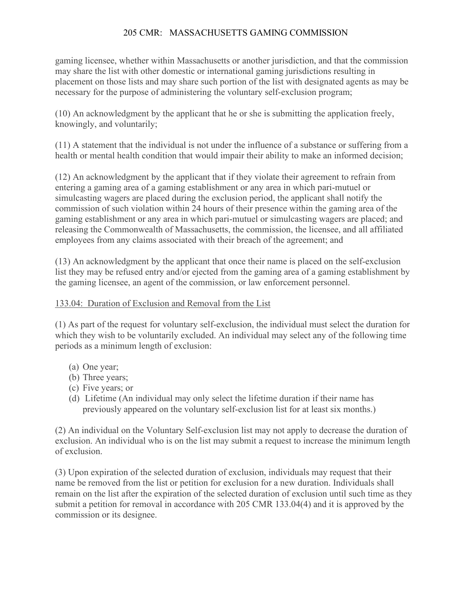gaming licensee, whether within Massachusetts or another jurisdiction, and that the commission may share the list with other domestic or international gaming jurisdictions resulting in placement on those lists and may share such portion of the list with designated agents as may be necessary for the purpose of administering the voluntary self-exclusion program;

(10) An acknowledgment by the applicant that he or she is submitting the application freely, knowingly, and voluntarily;

(11) A statement that the individual is not under the influence of a substance or suffering from a health or mental health condition that would impair their ability to make an informed decision;

(12) An acknowledgment by the applicant that if they violate their agreement to refrain from entering a gaming area of a gaming establishment or any area in which pari-mutuel or simulcasting wagers are placed during the exclusion period, the applicant shall notify the commission of such violation within 24 hours of their presence within the gaming area of the gaming establishment or any area in which pari-mutuel or simulcasting wagers are placed; and releasing the Commonwealth of Massachusetts, the commission, the licensee, and all affiliated employees from any claims associated with their breach of the agreement; and

(13) An acknowledgment by the applicant that once their name is placed on the self-exclusion list they may be refused entry and/or ejected from the gaming area of a gaming establishment by the gaming licensee, an agent of the commission, or law enforcement personnel.

# 133.04: Duration of Exclusion and Removal from the List

(1) As part of the request for voluntary self-exclusion, the individual must select the duration for which they wish to be voluntarily excluded. An individual may select any of the following time periods as a minimum length of exclusion:

- (a) One year;
- (b) Three years;
- (c) Five years; or
- (d) Lifetime (An individual may only select the lifetime duration if their name has previously appeared on the voluntary self-exclusion list for at least six months.)

(2) An individual on the Voluntary Self-exclusion list may not apply to decrease the duration of exclusion. An individual who is on the list may submit a request to increase the minimum length of exclusion.

(3) Upon expiration of the selected duration of exclusion, individuals may request that their name be removed from the list or petition for exclusion for a new duration. Individuals shall remain on the list after the expiration of the selected duration of exclusion until such time as they submit a petition for removal in accordance with 205 CMR 133.04(4) and it is approved by the commission or its designee.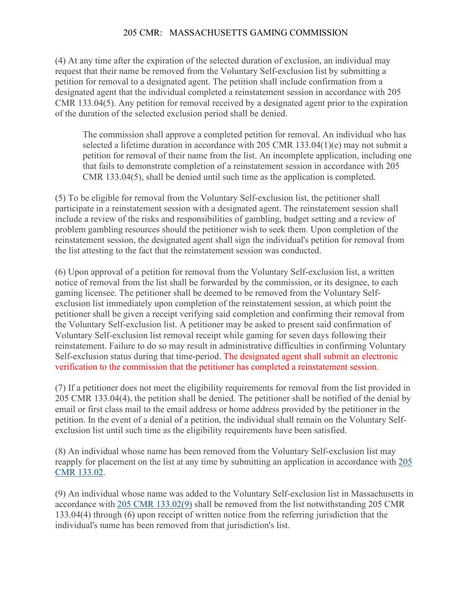(4) At any time after the expiration of the selected duration of exclusion, an individual may request that their name be removed from the Voluntary Self-exclusion list by submitting a petition for removal to a designated agent. The petition shall include confirmation from a designated agent that the individual completed a reinstatement session in accordance with 205 CMR 133.04(5). Any petition for removal received by a designated agent prior to the expiration of the duration of the selected exclusion period shall be denied.

The commission shall approve a completed petition for removal. An individual who has selected a lifetime duration in accordance with 205 CMR 133.04(1)(e) may not submit a petition for removal of their name from the list. An incomplete application, including one that fails to demonstrate completion of a reinstatement session in accordance with 205 CMR 133.04(5), shall be denied until such time as the application is completed.

(5) To be eligible for removal from the Voluntary Self-exclusion list, the petitioner shall participate in a reinstatement session with a designated agent. The reinstatement session shall include a review of the risks and responsibilities of gambling, budget setting and a review of problem gambling resources should the petitioner wish to seek them. Upon completion of the reinstatement session, the designated agent shall sign the individual's petition for removal from the list attesting to the fact that the reinstatement session was conducted.

(6) Upon approval of a petition for removal from the Voluntary Self-exclusion list, a written notice of removal from the list shall be forwarded by the commission, or its designee, to each gaming licensee. The petitioner shall be deemed to be removed from the Voluntary Selfexclusion list immediately upon completion of the reinstatement session, at which point the petitioner shall be given a receipt verifying said completion and confirming their removal from the Voluntary Self-exclusion list. A petitioner may be asked to present said confirmation of Voluntary Self-exclusion list removal receipt while gaming for seven days following their reinstatement. Failure to do so may result in administrative difficulties in confirming Voluntary Self-exclusion status during that time-period. The designated agent shall submit an electronic verification to the commission that the petitioner has completed a reinstatement session.

(7) If a petitioner does not meet the eligibility requirements for removal from the list provided in 205 CMR 133.04(4), the petition shall be denied. The petitioner shall be notified of the denial by email or first class mail to the email address or home address provided by the petitioner in the petition. In the event of a denial of a petition, the individual shall remain on the Voluntary Selfexclusion list until such time as the eligibility requirements have been satisfied.

(8) An individual whose name has been removed from the Voluntary Self-exclusion list may reapply for placement on the list at any time by submitting an application in accordance with 205 [CMR 133.02.](https://1.next.westlaw.com/Link/Document/FullText?findType=L&pubNum=1012167&cite=205MADC133.02&originatingDoc=IDB485290A66111EA8981875C7C0D3914&refType=VP&originationContext=document&transitionType=DocumentItem&ppcid=56f8b135a63a4297b0fd9c88d733ea2c&contextData=(sc.Document))

(9) An individual whose name was added to the Voluntary Self-exclusion list in Massachusetts in accordance with [205 CMR 133.02\(9\)](https://1.next.westlaw.com/Link/Document/FullText?findType=L&pubNum=1012167&cite=205MADC133.02&originatingDoc=IDB485290A66111EA8981875C7C0D3914&refType=VP&originationContext=document&transitionType=DocumentItem&ppcid=56f8b135a63a4297b0fd9c88d733ea2c&contextData=(sc.Document)) shall be removed from the list notwithstanding 205 CMR 133.04(4) through (6) upon receipt of written notice from the referring jurisdiction that the individual's name has been removed from that jurisdiction's list.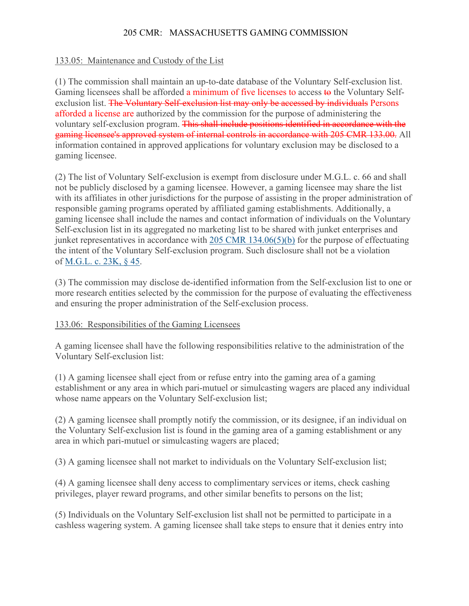## 133.05: Maintenance and Custody of the List

(1) The commission shall maintain an up-to-date database of the Voluntary Self-exclusion list. Gaming licensees shall be afforded a minimum of five licenses to access to the Voluntary Selfexclusion list. The Voluntary Self-exclusion list may only be accessed by individuals Persons afforded a license are authorized by the commission for the purpose of administering the voluntary self-exclusion program. This shall include positions identified in accordance with the gaming licensee's approved system of internal controls in accordance with 205 CMR 133.00. All information contained in approved applications for voluntary exclusion may be disclosed to a gaming licensee.

(2) The list of Voluntary Self-exclusion is exempt from disclosure under M.G.L. c. 66 and shall not be publicly disclosed by a gaming licensee. However, a gaming licensee may share the list with its affiliates in other jurisdictions for the purpose of assisting in the proper administration of responsible gaming programs operated by affiliated gaming establishments. Additionally, a gaming licensee shall include the names and contact information of individuals on the Voluntary Self-exclusion list in its aggregated no marketing list to be shared with junket enterprises and junket representatives in accordance with [205 CMR 134.06\(5\)\(b\)](https://1.next.westlaw.com/Link/Document/FullText?findType=L&pubNum=1012167&cite=205MADC134.06&originatingDoc=I521AF5A06D4D11EB83B2D727974B075E&refType=VP&originationContext=document&transitionType=DocumentItem&ppcid=3bdcfc8126184014913601b9d6b420e5&contextData=(sc.Document)) for the purpose of effectuating the intent of the Voluntary Self-exclusion program. Such disclosure shall not be a violation of [M.G.L. c. 23K, § 45.](https://1.next.westlaw.com/Link/Document/FullText?findType=L&pubNum=1000042&cite=MAST23KS45&originatingDoc=I521AF5A06D4D11EB83B2D727974B075E&refType=LQ&originationContext=document&transitionType=DocumentItem&ppcid=3bdcfc8126184014913601b9d6b420e5&contextData=(sc.Document))

(3) The commission may disclose de-identified information from the Self-exclusion list to one or more research entities selected by the commission for the purpose of evaluating the effectiveness and ensuring the proper administration of the Self-exclusion process.

## 133.06: Responsibilities of the Gaming Licensees

A gaming licensee shall have the following responsibilities relative to the administration of the Voluntary Self-exclusion list:

(1) A gaming licensee shall eject from or refuse entry into the gaming area of a gaming establishment or any area in which pari-mutuel or simulcasting wagers are placed any individual whose name appears on the Voluntary Self-exclusion list;

(2) A gaming licensee shall promptly notify the commission, or its designee, if an individual on the Voluntary Self-exclusion list is found in the gaming area of a gaming establishment or any area in which pari-mutuel or simulcasting wagers are placed;

(3) A gaming licensee shall not market to individuals on the Voluntary Self-exclusion list;

(4) A gaming licensee shall deny access to complimentary services or items, check cashing privileges, player reward programs, and other similar benefits to persons on the list;

(5) Individuals on the Voluntary Self-exclusion list shall not be permitted to participate in a cashless wagering system. A gaming licensee shall take steps to ensure that it denies entry into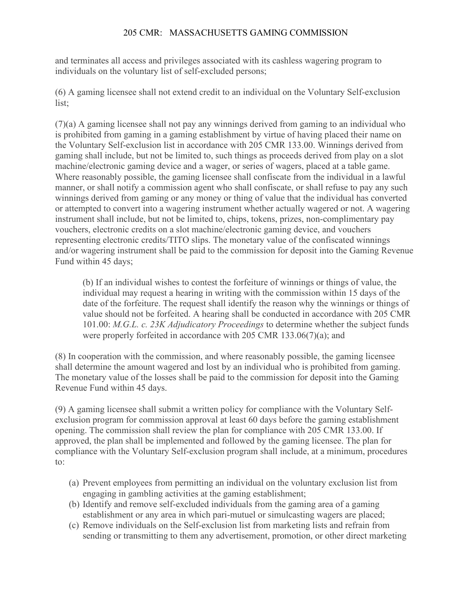and terminates all access and privileges associated with its cashless wagering program to individuals on the voluntary list of self-excluded persons;

(6) A gaming licensee shall not extend credit to an individual on the Voluntary Self-exclusion list;

(7)(a) A gaming licensee shall not pay any winnings derived from gaming to an individual who is prohibited from gaming in a gaming establishment by virtue of having placed their name on the Voluntary Self-exclusion list in accordance with 205 CMR 133.00. Winnings derived from gaming shall include, but not be limited to, such things as proceeds derived from play on a slot machine/electronic gaming device and a wager, or series of wagers, placed at a table game. Where reasonably possible, the gaming licensee shall confiscate from the individual in a lawful manner, or shall notify a commission agent who shall confiscate, or shall refuse to pay any such winnings derived from gaming or any money or thing of value that the individual has converted or attempted to convert into a wagering instrument whether actually wagered or not. A wagering instrument shall include, but not be limited to, chips, tokens, prizes, non-complimentary pay vouchers, electronic credits on a slot machine/electronic gaming device, and vouchers representing electronic credits/TITO slips. The monetary value of the confiscated winnings and/or wagering instrument shall be paid to the commission for deposit into the Gaming Revenue Fund within 45 days;

(b) If an individual wishes to contest the forfeiture of winnings or things of value, the individual may request a hearing in writing with the commission within 15 days of the date of the forfeiture. The request shall identify the reason why the winnings or things of value should not be forfeited. A hearing shall be conducted in accordance with 205 CMR 101.00: *M.G.L. c. 23K Adjudicatory Proceedings* to determine whether the subject funds were properly forfeited in accordance with 205 CMR 133.06(7)(a); and

(8) In cooperation with the commission, and where reasonably possible, the gaming licensee shall determine the amount wagered and lost by an individual who is prohibited from gaming. The monetary value of the losses shall be paid to the commission for deposit into the Gaming Revenue Fund within 45 days.

(9) A gaming licensee shall submit a written policy for compliance with the Voluntary Selfexclusion program for commission approval at least 60 days before the gaming establishment opening. The commission shall review the plan for compliance with 205 CMR 133.00. If approved, the plan shall be implemented and followed by the gaming licensee. The plan for compliance with the Voluntary Self-exclusion program shall include, at a minimum, procedures to:

- (a) Prevent employees from permitting an individual on the voluntary exclusion list from engaging in gambling activities at the gaming establishment;
- (b) Identify and remove self-excluded individuals from the gaming area of a gaming establishment or any area in which pari-mutuel or simulcasting wagers are placed;
- (c) Remove individuals on the Self-exclusion list from marketing lists and refrain from sending or transmitting to them any advertisement, promotion, or other direct marketing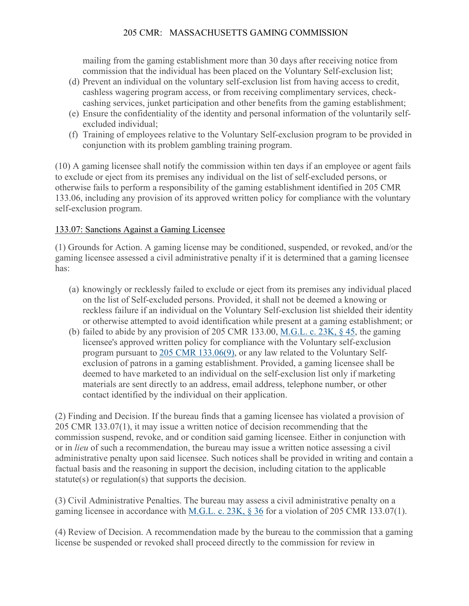mailing from the gaming establishment more than 30 days after receiving notice from commission that the individual has been placed on the Voluntary Self-exclusion list;

- (d) Prevent an individual on the voluntary self-exclusion list from having access to credit, cashless wagering program access, or from receiving complimentary services, checkcashing services, junket participation and other benefits from the gaming establishment;
- (e) Ensure the confidentiality of the identity and personal information of the voluntarily selfexcluded individual;
- (f) Training of employees relative to the Voluntary Self-exclusion program to be provided in conjunction with its problem gambling training program.

(10) A gaming licensee shall notify the commission within ten days if an employee or agent fails to exclude or eject from its premises any individual on the list of self-excluded persons, or otherwise fails to perform a responsibility of the gaming establishment identified in 205 CMR 133.06, including any provision of its approved written policy for compliance with the voluntary self-exclusion program.

# 133.07: Sanctions Against a Gaming Licensee

(1) Grounds for Action. A gaming license may be conditioned, suspended, or revoked, and/or the gaming licensee assessed a civil administrative penalty if it is determined that a gaming licensee has:

- (a) knowingly or recklessly failed to exclude or eject from its premises any individual placed on the list of Self-excluded persons. Provided, it shall not be deemed a knowing or reckless failure if an individual on the Voluntary Self-exclusion list shielded their identity or otherwise attempted to avoid identification while present at a gaming establishment; or
- (b) failed to abide by any provision of 205 CMR 133.00, [M.G.L. c. 23K, § 45,](https://1.next.westlaw.com/Link/Document/FullText?findType=L&pubNum=1000042&cite=MAST23KS45&originatingDoc=I345F8C7BCBED4863802F026CD2696705&refType=LQ&originationContext=document&transitionType=DocumentItem&ppcid=220244c8fa5d41f6925cc712cf219be9&contextData=(sc.Document)) the gaming licensee's approved written policy for compliance with the Voluntary self-exclusion program pursuant to [205 CMR 133.06\(9\),](https://1.next.westlaw.com/Link/Document/FullText?findType=L&pubNum=1012167&cite=205MADC133.06&originatingDoc=I345F8C7BCBED4863802F026CD2696705&refType=VP&originationContext=document&transitionType=DocumentItem&ppcid=220244c8fa5d41f6925cc712cf219be9&contextData=(sc.Document)) or any law related to the Voluntary Selfexclusion of patrons in a gaming establishment. Provided, a gaming licensee shall be deemed to have marketed to an individual on the self-exclusion list only if marketing materials are sent directly to an address, email address, telephone number, or other contact identified by the individual on their application.

(2) Finding and Decision. If the bureau finds that a gaming licensee has violated a provision of 205 CMR 133.07(1), it may issue a written notice of decision recommending that the commission suspend, revoke, and or condition said gaming licensee. Either in conjunction with or in *lieu* of such a recommendation, the bureau may issue a written notice assessing a civil administrative penalty upon said licensee. Such notices shall be provided in writing and contain a factual basis and the reasoning in support the decision, including citation to the applicable statute(s) or regulation(s) that supports the decision.

(3) Civil Administrative Penalties. The bureau may assess a civil administrative penalty on a gaming licensee in accordance with M.G.L. c. [23K, § 36](https://1.next.westlaw.com/Link/Document/FullText?findType=L&pubNum=1000042&cite=MAST23KS36&originatingDoc=I345F8C7BCBED4863802F026CD2696705&refType=LQ&originationContext=document&transitionType=DocumentItem&ppcid=220244c8fa5d41f6925cc712cf219be9&contextData=(sc.Document)) for a violation of 205 CMR 133.07(1).

(4) Review of Decision. A recommendation made by the bureau to the commission that a gaming license be suspended or revoked shall proceed directly to the commission for review in